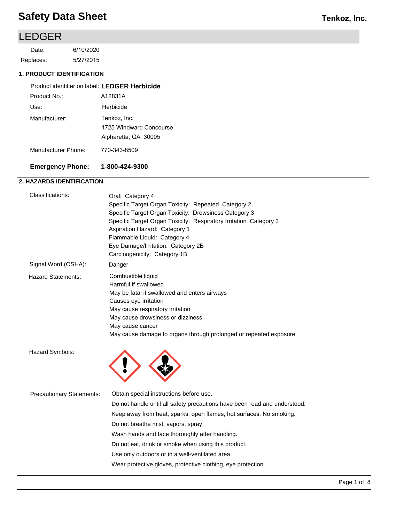## LEDGER

5/27/2015 6/10/2020 Replaces: Date:

#### **1. PRODUCT IDENTIFICATION**

| Product identifier on label: LEDGER Herbicide |                         |
|-----------------------------------------------|-------------------------|
| Product No.:                                  | A12831A                 |
| Use:                                          | Herbicide               |
| Manufacturer:                                 | Tenkoz, Inc.            |
|                                               | 1725 Windward Concourse |
|                                               | Alpharetta, GA 30005    |
| Manufacturer Phone:                           | 770-343-8509            |

#### **Emergency Phone: 1-800-424-9300**

### **2. HAZARDS IDENTIFICATION**

| Classifications:                 | Oral: Category 4<br>Specific Target Organ Toxicity: Repeated Category 2<br>Specific Target Organ Toxicity: Drowsiness Category 3<br>Specific Target Organ Toxicity: Respiratory Irritation Category 3<br>Aspiration Hazard: Category 1<br>Flammable Liquid: Category 4                |  |  |
|----------------------------------|---------------------------------------------------------------------------------------------------------------------------------------------------------------------------------------------------------------------------------------------------------------------------------------|--|--|
|                                  | Eye Damage/Irritation: Category 2B<br>Carcinogenicity: Category 1B                                                                                                                                                                                                                    |  |  |
| Signal Word (OSHA):              | Danger                                                                                                                                                                                                                                                                                |  |  |
| <b>Hazard Statements:</b>        | Combustible liquid<br>Harmful if swallowed<br>May be fatal if swallowed and enters airways<br>Causes eye irritation<br>May cause respiratory irritation<br>May cause drowsiness or dizziness<br>May cause cancer<br>May cause damage to organs through prolonged or repeated exposure |  |  |
| Hazard Symbols:                  |                                                                                                                                                                                                                                                                                       |  |  |
| <b>Precautionary Statements:</b> | Obtain special instructions before use.                                                                                                                                                                                                                                               |  |  |
|                                  | Do not handle until all safety precautions have been read and understood.                                                                                                                                                                                                             |  |  |
|                                  | Keep away from heat, sparks, open flames, hot surfaces. No smoking.                                                                                                                                                                                                                   |  |  |
|                                  | Do not breathe mist, vapors, spray.                                                                                                                                                                                                                                                   |  |  |
|                                  | Wash hands and face thoroughly after handling.                                                                                                                                                                                                                                        |  |  |

Do not eat, drink or smoke when using this product.

Use only outdoors or in a well-ventilated area.

Wear protective gloves, protective clothing, eye protection.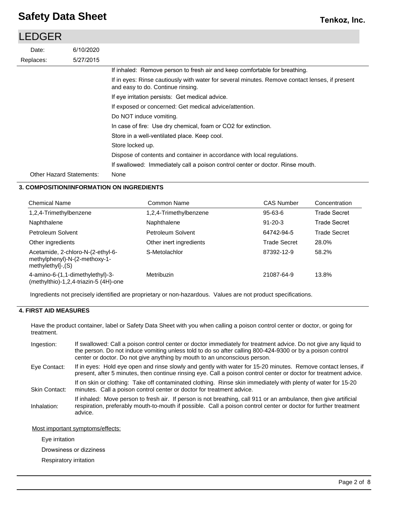### 5/27/2015 6/10/2020 Replaces: Date: LEDGER Other Hazard Statements: If inhaled: Remove person to fresh air and keep comfortable for breathing. If in eyes: Rinse cautiously with water for several minutes. Remove contact lenses, if present and easy to do. Continue rinsing. If eye irritation persists: Get medical advice. If exposed or concerned: Get medical advice/attention. Do NOT induce vomiting. In case of fire: Use dry chemical, foam or CO2 for extinction. Store in a well-ventilated place. Keep cool. Store locked up. Dispose of contents and container in accordance with local regulations. If swallowed: Immediately call a poison control center or doctor. Rinse mouth. None

### **3. COMPOSITION/INFORMATION ON INGREDIENTS**

| <b>Chemical Name</b>                                                                      | Common Name             | <b>CAS Number</b>   | Concentration       |
|-------------------------------------------------------------------------------------------|-------------------------|---------------------|---------------------|
| 1,2,4-Trimethylbenzene                                                                    | 1,2,4-Trimethylbenzene  | $95 - 63 - 6$       | Trade Secret        |
| Naphthalene                                                                               | Naphthalene             | $91 - 20 - 3$       | <b>Trade Secret</b> |
| Petroleum Solvent                                                                         | Petroleum Solvent       | 64742-94-5          | <b>Trade Secret</b> |
| Other ingredients                                                                         | Other inert ingredients | <b>Trade Secret</b> | 28.0%               |
| Acetamide, 2-chloro-N-(2-ethyl-6-<br>methylphenyl)-N-(2-methoxy-1-<br>$methylethyl-.$ (S) | S-Metolachlor           | 87392-12-9          | 58.2%               |
| 4-amino-6-(1,1-dimethylethyl)-3-<br>(methylthio)-1,2,4-triazin-5 (4H)-one                 | Metribuzin              | 21087-64-9          | 13.8%               |

Ingredients not precisely identified are proprietary or non-hazardous. Values are not product specifications.

### **4. FIRST AID MEASURES**

Have the product container, label or Safety Data Sheet with you when calling a poison control center or doctor, or going for treatment.

| Ingestion:           | If swallowed: Call a poison control center or doctor immediately for treatment advice. Do not give any liquid to<br>the person. Do not induce vomiting unless told to do so after calling 800-424-9300 or by a poison control<br>center or doctor. Do not give anything by mouth to an unconscious person. |
|----------------------|------------------------------------------------------------------------------------------------------------------------------------------------------------------------------------------------------------------------------------------------------------------------------------------------------------|
| Eye Contact:         | If in eyes: Hold eye open and rinse slowly and gently with water for 15-20 minutes. Remove contact lenses, if<br>present, after 5 minutes, then continue rinsing eye. Call a poison control center or doctor for treatment advice.                                                                         |
| <b>Skin Contact:</b> | If on skin or clothing: Take off contaminated clothing. Rinse skin immediately with plenty of water for 15-20<br>minutes. Call a poison control center or doctor for treatment advice.                                                                                                                     |
| Inhalation:          | If inhaled: Move person to fresh air. If person is not breathing, call 911 or an ambulance, then give artificial<br>respiration, preferably mouth-to-mouth if possible. Call a poison control center or doctor for further treatment<br>advice.                                                            |
|                      |                                                                                                                                                                                                                                                                                                            |

#### Most important symptoms/effects:

Eye irritation

Drowsiness or dizziness

Respiratory irritation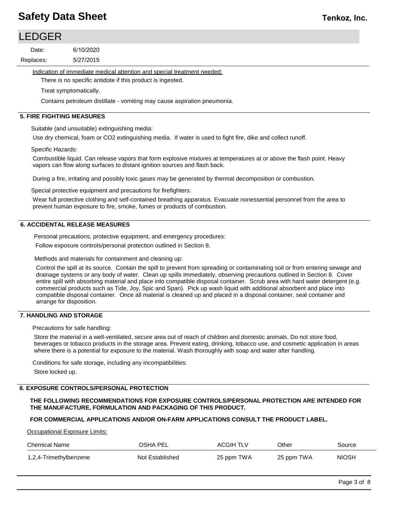## LEDGER

5/27/2015 6/10/2020 Replaces: Date:

Indication of immediate medical attention and special treatment needed:

There is no specific antidote if this product is ingested.

Treat symptomatically.

Contains petroleum distillate - vomiting may cause aspiration pneumonia.

#### **5. FIRE FIGHTING MEASURES**

Suitable (and unsuitable) extinguishing media:

Use dry chemical, foam or CO2 extinguishing media. If water is used to fight fire, dike and collect runoff.

Specific Hazards:

Combustible liquid. Can release vapors that form explosive mixtures at temperatures at or above the flash point. Heavy vapors can flow along surfaces to distant ignition sources and flash back.

During a fire, irritating and possibly toxic gases may be generated by thermal decomposition or combustion.

Special protective equipment and precautions for firefighters:

Wear full protective clothing and self-contained breathing apparatus. Evacuate nonessential personnel from the area to prevent human exposure to fire, smoke, fumes or products of combustion.

#### **6. ACCIDENTAL RELEASE MEASURES**

Personal precautions, protective equipment, and emergency procedures:

Follow exposure controls/personal protection outlined in Section 8.

Methods and materials for containment and cleaning up:

Control the spill at its source. Contain the spill to prevent from spreading or contaminating soil or from entering sewage and drainage systems or any body of water. Clean up spills immediately, observing precautions outlined in Section 8. Cover entire spill with absorbing material and place into compatible disposal container. Scrub area with hard water detergent (e.g. commercial products such as Tide, Joy, Spic and Span). Pick up wash liquid with additional absorbent and place into compatible disposal container. Once all material is cleaned up and placed in a disposal container, seal container and arrange for disposition.

### **7. HANDLING AND STORAGE**

Precautions for safe handling:

Store the material in a well-ventilated, secure area out of reach of children and domestic animals. Do not store food, beverages or tobacco products in the storage area. Prevent eating, drinking, tobacco use, and cosmetic application in areas where there is a potential for exposure to the material. Wash thoroughly with soap and water after handling.

Conditions for safe storage, including any incompatibilities: Store locked up.

### **8. EXPOSURE CONTROLS/PERSONAL PROTECTION**

**THE FOLLOWING RECOMMENDATIONS FOR EXPOSURE CONTROLS/PERSONAL PROTECTION ARE INTENDED FOR THE MANUFACTURE, FORMULATION AND PACKAGING OF THIS PRODUCT.** 

## **FOR COMMERCIAL APPLICATIONS AND/OR ON-FARM APPLICATIONS CONSULT THE PRODUCT LABEL.**

Occupational Exposure Limits:

| Chemical Name          | OSHA PEL        | <b>ACGIH TLV</b> | Other      | Source       |
|------------------------|-----------------|------------------|------------|--------------|
| 1,2,4-Trimethylbenzene | Not Established | 25 ppm TWA       | 25 ppm TWA | <b>NIOSH</b> |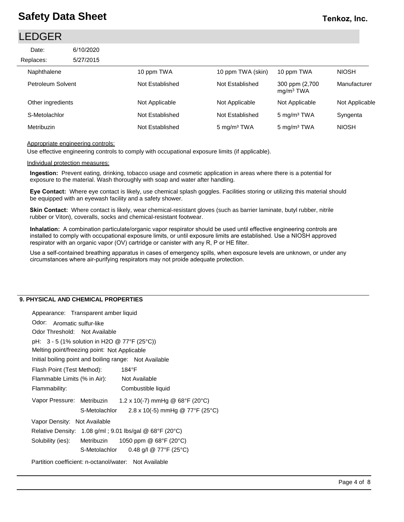## **Tenkoz, Inc.**

## LEDGER

| Date:             | 6/10/2020 |                 |                         |                                          |                |
|-------------------|-----------|-----------------|-------------------------|------------------------------------------|----------------|
| Replaces:         | 5/27/2015 |                 |                         |                                          |                |
| Naphthalene       |           | 10 ppm TWA      | 10 ppm TWA (skin)       | 10 ppm TWA                               | <b>NIOSH</b>   |
| Petroleum Solvent |           | Not Established | Not Established         | 300 ppm (2,700)<br>mg/m <sup>3</sup> TWA | Manufacturer   |
| Other ingredients |           | Not Applicable  | Not Applicable          | Not Applicable                           | Not Applicable |
| S-Metolachlor     |           | Not Established | Not Established         | 5 mg/m <sup>3</sup> TWA                  | Syngenta       |
| Metribuzin        |           | Not Established | 5 mg/m <sup>3</sup> TWA | 5 mg/m <sup>3</sup> TWA                  | <b>NIOSH</b>   |

#### Appropriate engineering controls:

Use effective engineering controls to comply with occupational exposure limits (if applicable).

#### Individual protection measures:

**Ingestion:** Prevent eating, drinking, tobacco usage and cosmetic application in areas where there is a potential for exposure to the material. Wash thoroughly with soap and water after handling.

**Eye Contact:** Where eye contact is likely, use chemical splash goggles. Facilities storing or utilizing this material should be equipped with an eyewash facility and a safety shower.

**Skin Contact:** Where contact is likely, wear chemical-resistant gloves (such as barrier laminate, butyl rubber, nitrile rubber or Viton), coveralls, socks and chemical-resistant footwear.

**Inhalation:** A combination particulate/organic vapor respirator should be used until effective engineering controls are installed to comply with occupational exposure limits, or until exposure limits are established. Use a NIOSH approved respirator with an organic vapor (OV) cartridge or canister with any R, P or HE filter.

Use a self-contained breathing apparatus in cases of emergency spills, when exposure levels are unknown, or under any circumstances where air-purifying respirators may not proide adequate protection.

#### **9. PHYSICAL AND CHEMICAL PROPERTIES**

| Appearance: Transparent amber liquid                   |               |                                                         |
|--------------------------------------------------------|---------------|---------------------------------------------------------|
| Odor: Aromatic sulfur-like                             |               |                                                         |
| Odor Threshold: Not Available                          |               |                                                         |
| pH: $3 - 5$ (1% solution in H2O @ 77°F (25°C))         |               |                                                         |
| Melting point/freezing point: Not Applicable           |               |                                                         |
| Initial boiling point and boiling range: Not Available |               |                                                         |
| Flash Point (Test Method):                             |               | 184°F                                                   |
| Flammable Limits (% in Air):                           |               | Not Available                                           |
| Flammability:                                          |               | Combustible liquid                                      |
| Vapor Pressure: Metribuzin                             |               | 1.2 x 10(-7) mmHg @ $68^{\circ}F$ (20 $^{\circ}C$ )     |
|                                                        | S-Metolachlor | 2.8 x 10(-5) mmHg @ 77°F (25°C)                         |
| Vapor Density: Not Available                           |               |                                                         |
|                                                        |               | Relative Density: 1.08 g/ml; 9.01 lbs/gal @ 68°F (20°C) |
|                                                        |               | Solubility (ies): Metribuzin $1050$ ppm @ 68°F (20°C)   |
|                                                        |               | S-Metolachlor $0.48$ g/l @ 77°F (25°C)                  |
| Partition coefficient: n-octanol/water: Not Available  |               |                                                         |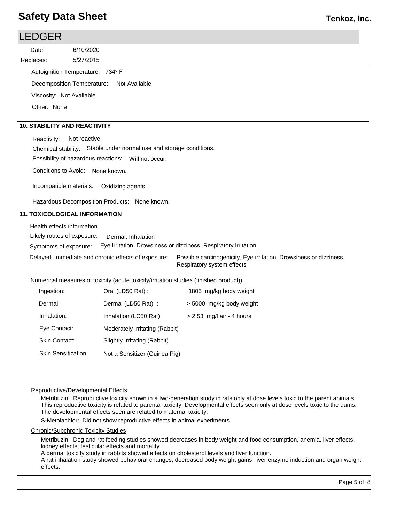## **Tenkoz, Inc.**

| <b>LEDGER</b> |                                     |               |  |  |  |
|---------------|-------------------------------------|---------------|--|--|--|
| Date:         | 6/10/2020                           |               |  |  |  |
| Replaces:     | 5/27/2015                           |               |  |  |  |
|               | Autoignition Temperature: 734° F    |               |  |  |  |
|               | Decomposition Temperature:          | Not Available |  |  |  |
|               | Viscosity: Not Available            |               |  |  |  |
| Other: None   |                                     |               |  |  |  |
|               |                                     |               |  |  |  |
|               | <b>10. STABILITY AND REACTIVITY</b> |               |  |  |  |

Reactivity: Not reactive.

Chemical stability: Stable under normal use and storage conditions.

Possibility of hazardous reactions: Will not occur.

Conditions to Avoid: None known.

Incompatible materials: Oxidizing agents.

Hazardous Decomposition Products: None known.

#### **11. TOXICOLOGICAL INFORMATION**

Health effects information

Likely routes of exposure: Dermal, Inhalation

Symptoms of exposure: Eye irritation, Drowsiness or dizziness, Respiratory irritation

Delayed, immediate and chronic effects of exposure: Possible carcinogenicity, Eye irritation, Drowsiness or dizziness, Respiratory system effects

#### Numerical measures of toxicity (acute toxicity/irritation studies (finished product))

| Ingestion:                 | Oral (LD50 Rat):               | 1805 mg/kg body weight      |
|----------------------------|--------------------------------|-----------------------------|
| Dermal:                    | Dermal (LD50 Rat):             | > 5000 mg/kg body weight    |
| Inhalation:                | Inhalation (LC50 Rat):         | $> 2.53$ mg/l air - 4 hours |
| Eye Contact:               | Moderately Irritating (Rabbit) |                             |
| Skin Contact:              | Slightly Irritating (Rabbit)   |                             |
| <b>Skin Sensitization:</b> | Not a Sensitizer (Guinea Pig)  |                             |

#### Reproductive/Developmental Effects

Metribuzin: Reproductive toxicity shown in a two-generation study in rats only at dose levels toxic to the parent animals. This reproductive toxicity is related to parental toxicity. Developmental effects seen only at dose levels toxic to the dams. The developmental effects seen are related to maternal toxicity.

S-Metolachlor: Did not show reproductive effects in animal experiments.

Chronic/Subchronic Toxicity Studies

Metribuzin: Dog and rat feeding studies showed decreases in body weight and food consumption, anemia, liver effects, kidney effects, testicular effects and mortality.

A dermal toxicity study in rabbits showed effects on cholesterol levels and liver function.

A rat inhalation study showed behavioral changes, decreased body weight gains, liver enzyme induction and organ weight effects.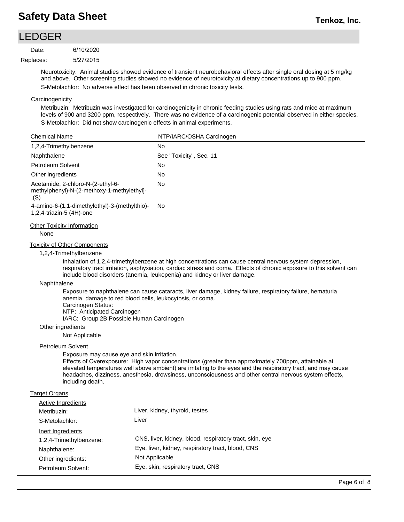# LEDGER

| Date:     | 6/10/2020 |  |
|-----------|-----------|--|
| Replaces: | 5/27/2015 |  |

Neurotoxicity: Animal studies showed evidence of transient neurobehavioral effects after single oral dosing at 5 mg/kg and above. Other screening studies showed no evidence of neurotoxicity at dietary concentrations up to 900 ppm. S-Metolachlor: No adverse effect has been observed in chronic toxicity tests.

## **Carcinogenicity**

Metribuzin: Metribuzin was investigated for carcinogenicity in chronic feeding studies using rats and mice at maximum levels of 900 and 3200 ppm, respectively. There was no evidence of a carcinogenic potential observed in either species. S-Metolachlor: Did not show carcinogenic effects in animal experiments.

| <b>Chemical Name</b>                                                                                     | NTP/IARC/OSHA Carcinogen |
|----------------------------------------------------------------------------------------------------------|--------------------------|
| 1,2,4-Trimethylbenzene                                                                                   | No                       |
| Naphthalene                                                                                              | See "Toxicity", Sec. 11  |
| Petroleum Solvent                                                                                        | <b>No</b>                |
| Other ingredients                                                                                        | No                       |
| Acetamide, 2-chloro-N-(2-ethyl-6-<br>methylphenyl)-N-(2-methoxy-1-methylethyl]-<br>,(S)                  | No                       |
| 4-amino-6-(1,1-dimethylethyl)-3-(methylthio)-<br>1,2,4-triazin-5 (4H)-one                                | No.                      |
| Other Toxicity Information<br>None                                                                       |                          |
| $T = 1.5$ . The set $\bigcap A$ is a $\bigcap A$ - $\bigcap A$ - $\bigcap A$ - $\bigcap A$ - $\bigcap A$ |                          |

### Toxicity of Other Components

### 1,2,4-Trimethylbenzene

Inhalation of 1,2,4-trimethylbenzene at high concentrations can cause central nervous system depression, respiratory tract irritation, asphyxiation, cardiac stress and coma. Effects of chronic exposure to this solvent can include blood disorders (anemia, leukopenia) and kidney or liver damage.

#### Naphthalene

Exposure to naphthalene can cause cataracts, liver damage, kidney failure, respiratory failure, hematuria, anemia, damage to red blood cells, leukocytosis, or coma. Carcinogen Status:

NTP: Anticipated Carcinogen

IARC: Group 2B Possible Human Carcinogen

#### Other ingredients

Not Applicable

#### Petroleum Solvent

Exposure may cause eye and skin irritation.

Effects of Overexposure: High vapor concentrations (greater than approximately 700ppm, attainable at elevated temperatures well above ambient) are irritating to the eyes and the respiratory tract, and may cause headaches, dizziness, anesthesia, drowsiness, unconsciousness and other central nervous system effects, including death.

### Target Organs

| Active Ingredients      |                                                         |
|-------------------------|---------------------------------------------------------|
| Metribuzin:             | Liver, kidney, thyroid, testes                          |
| S-Metolachlor:          | Liver                                                   |
| Inert Ingredients       |                                                         |
| 1,2,4-Trimethylbenzene: | CNS, liver, kidney, blood, respiratory tract, skin, eye |
| Naphthalene:            | Eye, liver, kidney, respiratory tract, blood, CNS       |
| Other ingredients:      | Not Applicable                                          |
| Petroleum Solvent:      | Eye, skin, respiratory tract, CNS                       |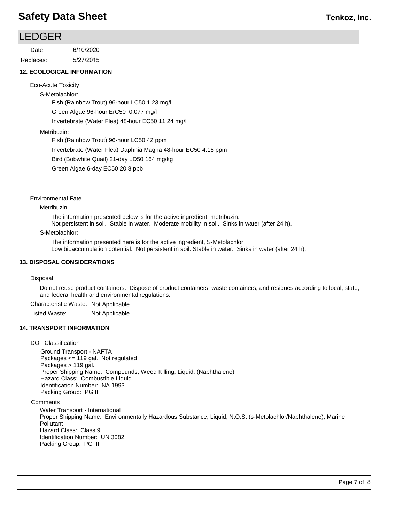## **Tenkoz, Inc.**

| <b>LEDGER</b> |           |
|---------------|-----------|
| Date:         | 6/10/2020 |
| Replaces:     | 5/27/2015 |

#### **12. ECOLOGICAL INFORMATION**

Eco-Acute Toxicity

S-Metolachlor: Fish (Rainbow Trout) 96-hour LC50 1.23 mg/l Green Algae 96-hour ErC50 0.077 mg/l Invertebrate (Water Flea) 48-hour EC50 11.24 mg/l

#### Metribuzin:

Fish (Rainbow Trout) 96-hour LC50 42 ppm Invertebrate (Water Flea) Daphnia Magna 48-hour EC50 4.18 ppm Bird (Bobwhite Quail) 21-day LD50 164 mg/kg Green Algae 6-day EC50 20.8 ppb

Environmental Fate

Metribuzin:

The information presented below is for the active ingredient, metribuzin.

Not persistent in soil. Stable in water. Moderate mobility in soil. Sinks in water (after 24 h).

#### S-Metolachlor:

The information presented here is for the active ingredient, S-Metolachlor. Low bioaccumulation potential. Not persistent in soil. Stable in water. Sinks in water (after 24 h).

#### **13. DISPOSAL CONSIDERATIONS**

Disposal:

Do not reuse product containers. Dispose of product containers, waste containers, and residues according to local, state, and federal health and environmental regulations.

Characteristic Waste: Not Applicable

Listed Waste: Not Applicable

#### **14. TRANSPORT INFORMATION**

#### DOT Classification

Ground Transport - NAFTA Packages <= 119 gal. Not regulated Packages > 119 gal. Proper Shipping Name: Compounds, Weed Killing, Liquid, (Naphthalene) Hazard Class: Combustible Liquid Identification Number: NA 1993 Packing Group: PG III

**Comments** 

Water Transport - International Proper Shipping Name: Environmentally Hazardous Substance, Liquid, N.O.S. (s-Metolachlor/Naphthalene), Marine Pollutant Hazard Class: Class 9 Identification Number: UN 3082 Packing Group: PG III